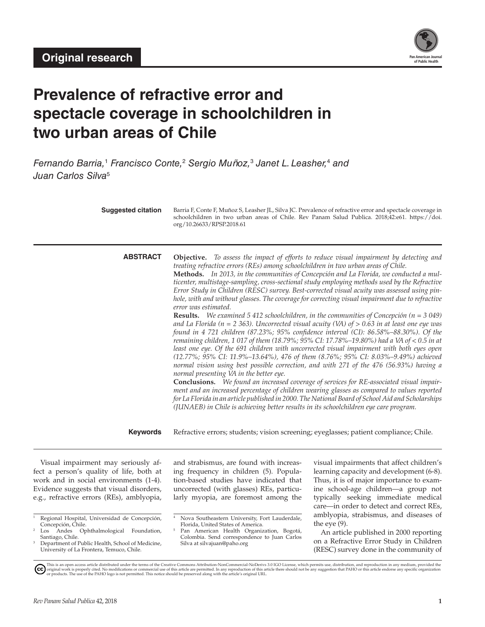

# **Prevalence of refractive error and spectacle coverage in schoolchildren in two urban areas of Chile**

Fernando Barria,<sup>1</sup> Francisco Conte,<sup>2</sup> Sergio Muñoz,<sup>3</sup> Janet L. Leasher,<sup>4</sup> and *Juan Carlos Silva*<sup>5</sup>

| <b>Suggested citation</b>                                                                                                                                                                                          | org/10.26633/RPSP.2018.61                                                                                                                                                                                                                      | Barria F, Conte F, Muñoz S, Leasher JL, Silva JC. Prevalence of refractive error and spectacle coverage in<br>schoolchildren in two urban areas of Chile. Rev Panam Salud Publica. 2018;42:e61. https://doi.                                                                                                                                                                                                                                                                                                                                                                                                                                                                                                                                                                                                                                                                                                                                                                                                                                                                                                                                                                                                                                                                                                                                                                                                                                                             |
|--------------------------------------------------------------------------------------------------------------------------------------------------------------------------------------------------------------------|------------------------------------------------------------------------------------------------------------------------------------------------------------------------------------------------------------------------------------------------|--------------------------------------------------------------------------------------------------------------------------------------------------------------------------------------------------------------------------------------------------------------------------------------------------------------------------------------------------------------------------------------------------------------------------------------------------------------------------------------------------------------------------------------------------------------------------------------------------------------------------------------------------------------------------------------------------------------------------------------------------------------------------------------------------------------------------------------------------------------------------------------------------------------------------------------------------------------------------------------------------------------------------------------------------------------------------------------------------------------------------------------------------------------------------------------------------------------------------------------------------------------------------------------------------------------------------------------------------------------------------------------------------------------------------------------------------------------------------|
| <b>ABSTRACT</b>                                                                                                                                                                                                    | treating refractive errors (REs) among schoolchildren in two urban areas of Chile.<br>error was estimated.<br>normal presenting VA in the better eye.<br>(JUNAEB) in Chile is achieving better results in its schoolchildren eye care program. | <b>Objective.</b> To assess the impact of efforts to reduce visual impairment by detecting and<br>Methods. In 2013, in the communities of Concepción and La Florida, we conducted a mul-<br>ticenter, multistage-sampling, cross-sectional study employing methods used by the Refractive<br>Error Study in Children (RESC) survey. Best-corrected visual acuity was assessed using pin-<br>hole, with and without glasses. The coverage for correcting visual impairment due to refractive<br><b>Results.</b> We examined 5 412 schoolchildren, in the communities of Concepción ( $n = 3049$ )<br>and La Florida ( $n = 2363$ ). Uncorrected visual acuity (VA) of $> 0.63$ in at least one eye was<br>found in 4 721 children (87.23%; 95% confidence interval (CI): 86.58%-88.30%). Of the<br>remaining children, 1 017 of them (18.79%; 95% CI: 17.78%-19.80%) had a VA of < 0.5 in at<br>least one eye. Of the 691 children with uncorrected visual impairment with both eyes open<br>(12.77%; 95% CI: 11.9%-13.64%), 476 of them (8.76%; 95% CI: 8.03%-9.49%) achieved<br>normal vision using best possible correction, and with 271 of the 476 (56.93%) having a<br>Conclusions. We found an increased coverage of services for RE-associated visual impair-<br>ment and an increased percentage of children wearing glasses as compared to values reported<br>for La Florida in an article published in 2000. The National Board of School Aid and Scholarships |
| <b>Keywords</b><br>Refractive errors; students; vision screening; eyeglasses; patient compliance; Chile.                                                                                                           |                                                                                                                                                                                                                                                |                                                                                                                                                                                                                                                                                                                                                                                                                                                                                                                                                                                                                                                                                                                                                                                                                                                                                                                                                                                                                                                                                                                                                                                                                                                                                                                                                                                                                                                                          |
| Visual impairment may seriously af-<br>fect a person's quality of life, both at<br>work and in social environments (1-4).<br>Evidence suggests that visual disorders,<br>e.g., refractive errors (REs), amblyopia, | and strabismus, are found with increas-<br>ing frequency in children (5). Popula-<br>tion-based studies have indicated that<br>uncorrected (with glasses) REs, particu-<br>larly myopia, are foremost among the                                | visual impairments that affect children's<br>learning capacity and development (6-8).<br>Thus, it is of major importance to exam-<br>ine school-age children-a group not<br>typically seeking immediate medical<br>care in order to detect and correct PFs.                                                                                                                                                                                                                                                                                                                                                                                                                                                                                                                                                                                                                                                                                                                                                                                                                                                                                                                                                                                                                                                                                                                                                                                                              |

care—in order to detect and correct REs, amblyopia, strabismus, and diseases of the eye (9).

An article published in 2000 reporting on a Refractive Error Study in Children (RESC) survey done in the community of

Regional Hospital, Universidad de Concepción, Concepción, Chile.

Los Andes Ophthalmological Foundation, Santiago, Chile.

Department of Public Health, School of Medicine, University of La Frontera, Temuco, Chile.

Nova Southeastern University, Fort Lauderdale, Florida, United States of America.

Pan American Health Organization, Bogotá, Colombia. Send correspondence to Juan Carlos Silva at [silvajuan@paho.org](mailto:silvajuan@paho.org)

This is an open access article distributed under the terms of the [Creative Commons Attribution-NonCommercial-NoDerivs 3.0 IGO License](https://creativecommons.org/licenses/by-nc-nd/3.0/igo/legalcode), which permits use, distribution, and reproduction in any medium, provided the the shoul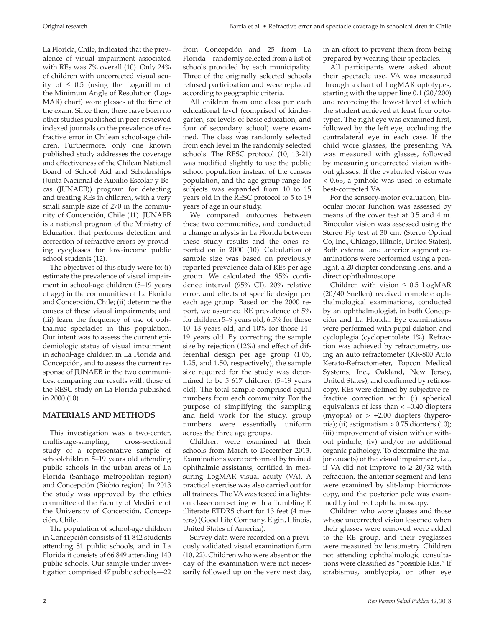La Florida, Chile, indicated that the prevalence of visual impairment associated with REs was 7% overall (10). Only 24% of children with uncorrected visual acuity of  $\leq 0.5$  (using the Logarithm of the Minimum Angle of Resolution (Log-MAR) chart) wore glasses at the time of the exam. Since then, there have been no other studies published in peer-reviewed indexed journals on the prevalence of refractive error in Chilean school-age children. Furthermore, only one known published study addresses the coverage and effectiveness of the Chilean National Board of School Aid and Scholarships (Junta Nacional de Auxilio Escolar y Becas (JUNAEB)) program for detecting and treating REs in children, with a very small sample size of 270 in the community of Concepción, Chile (11). JUNAEB is a national program of the Ministry of Education that performs detection and correction of refractive errors by providing eyeglasses for low-income public school students (12).

The objectives of this study were to: (i) estimate the prevalence of visual impairment in school-age children (5–19 years of age) in the communities of La Florida and Concepción, Chile; (ii) determine the causes of these visual impairments; and (iii) learn the frequency of use of ophthalmic spectacles in this population. Our intent was to assess the current epidemiologic status of visual impairment in school-age children in La Florida and Concepción, and to assess the current response of JUNAEB in the two communities, comparing our results with those of the RESC study on La Florida published in 2000 (10).

# **MATERIALS AND METHODS**

This investigation was a two-center, multistage-sampling, cross-sectional study of a representative sample of schoolchildren 5–19 years old attending public schools in the urban areas of La Florida (Santiago metropolitan region) and Concepción (Biobío region). In 2013 the study was approved by the ethics committee of the Faculty of Medicine of the University of Concepción, Concepción, Chile.

The population of school-age children in Concepción consists of 41 842 students attending 81 public schools, and in La Florida it consists of 66 849 attending 140 public schools. Our sample under investigation comprised 47 public schools—22

according to geographic criteria. All children from one class per each educational level (comprised of kindergarten, six levels of basic education, and four of secondary school) were examined. The class was randomly selected from each level in the randomly selected schools. The RESC protocol (10, 13-21) was modified slightly to use the public school population instead of the census population, and the age group range for subjects was expanded from 10 to 15 years old in the RESC protocol to 5 to 19 years of age in our study.

We compared outcomes between these two communities, and conducted a change analysis in La Florida between these study results and the ones reported on in 2000 (10). Calculation of sample size was based on previously reported prevalence data of REs per age group. We calculated the 95% confidence interval (95% CI), 20% relative error, and effects of specific design per each age group. Based on the 2000 report, we assumed RE prevalence of 5% for children 5–9 years old, 6.5% for those 10–13 years old, and 10% for those 14– 19 years old. By correcting the sample size by rejection (12%) and effect of differential design per age group (1.05, 1.25, and 1.50, respectively), the sample size required for the study was determined to be 5 617 children (5–19 years old). The total sample comprised equal numbers from each community. For the purpose of simplifying the sampling and field work for the study, group numbers were essentially uniform across the three age groups.

Children were examined at their schools from March to December 2013. Examinations were performed by trained ophthalmic assistants, certified in measuring LogMAR visual acuity (VA). A practical exercise was also carried out for all trainees. The VA was tested in a lightson classroom setting with a Tumbling E illiterate ETDRS chart for 13 feet (4 meters) (Good Lite Company, Elgin, Illinois, United States of America).

Survey data were recorded on a previously validated visual examination form (10, 22). Children who were absent on the day of the examination were not necessarily followed up on the very next day,

in an effort to prevent them from being prepared by wearing their spectacles.

All participants were asked about their spectacle use. VA was measured through a chart of LogMAR optotypes, starting with the upper line 0.1 (20/200) and recording the lowest level at which the student achieved at least four optotypes. The right eye was examined first, followed by the left eye, occluding the contralateral eye in each case. If the child wore glasses, the presenting VA was measured with glasses, followed by measuring uncorrected vision without glasses. If the evaluated vision was < 0.63, a pinhole was used to estimate best-corrected VA.

For the sensory-motor evaluation, binocular motor function was assessed by means of the cover test at 0.5 and 4 m. Binocular vision was assessed using the Stereo Fly test at 30 cm. (Stereo Optical Co, Inc., Chicago, Illinois, United States). Both external and anterior segment examinations were performed using a penlight, a 20 diopter condensing lens, and a direct ophthalmoscope.

Children with vision  $\leq 0.5$  LogMAR (20/40 Snellen) received complete ophthalmological examinations, conducted by an ophthalmologist, in both Concepción and La Florida. Eye examinations were performed with pupil dilation and cycloplegia (cyclopentolate 1%). Refraction was achieved by refractometry, using an auto refractometer (KR-800 Auto Kerato-Refractometer, Topcon Medical Systems, Inc., Oakland, New Jersey, United States), and confirmed by retinoscopy. REs were defined by subjective refractive correction with: (i) spherical equivalents of less than < –0.40 diopters (myopia) or  $> +2.00$  diopters (hyperopia); (ii) astigmatism > 0.75 diopters (10); (iii) improvement of vision with or without pinhole; (iv) and/or no additional organic pathology. To determine the major cause(s) of the visual impairment, i.e., if VA did not improve to ≥ 20/32 with refraction, the anterior segment and lens were examined by slit-lamp biomicroscopy, and the posterior pole was examined by indirect ophthalmoscopy.

Children who wore glasses and those whose uncorrected vision lessened when their glasses were removed were added to the RE group, and their eyeglasses were measured by lensometry. Children not attending ophthalmologic consultations were classified as "possible REs." If strabismus, amblyopia, or other eye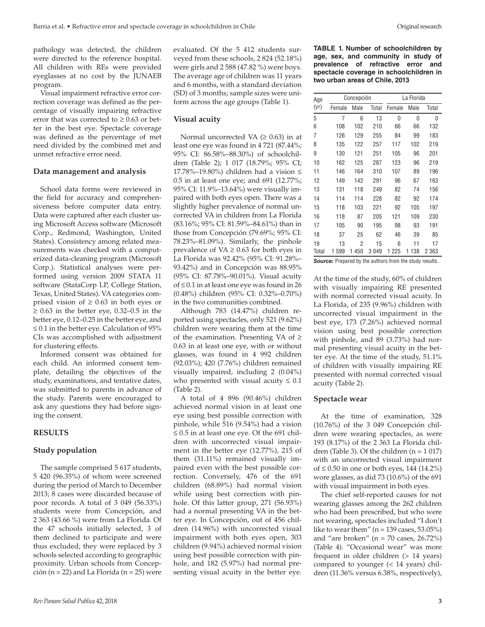pathology was detected, the children were directed to the reference hospital. All children with REs were provided eyeglasses at no cost by the JUNAEB program.

Visual impairment refractive error correction coverage was defined as the percentage of visually impairing refractive error that was corrected to  $\geq 0.63$  or better in the best eye. Spectacle coverage was defined as the percentage of met need divided by the combined met and unmet refractive error need.

# **Data management and analysis**

School data forms were reviewed in the field for accuracy and comprehensiveness before computer data entry. Data were captured after each cluster using Microsoft Access software (Microsoft Corp., Redmond, Washington, United States). Consistency among related measurements was checked with a computerized data-cleaning program (Microsoft Corp.). Statistical analyses were performed using version 2009 STATA 11 software (StataCorp LP, College Station, Texas, United States). VA categories comprised vision of  $\geq 0.63$  in both eyes or  $\geq$  0.63 in the better eye, 0.32–0.5 in the better eye, 0.12–0.25 in the better eye, and ≤ 0.1 in the better eye. Calculation of  $95%$ CIs was accomplished with adjustment for clustering effects.

Informed consent was obtained for each child. An informed consent template, detailing the objectives of the study, examinations, and tentative dates, was submitted to parents in advance of the study. Parents were encouraged to ask any questions they had before signing the consent.

#### **RESULTS**

# **Study population**

The sample comprised 5 617 students, 5 420 (96.35%) of whom were screened during the period of March to December 2013; 8 cases were discarded because of poor records. A total of 3 049 (56.33%) students were from Concepción, and 2 363 (43.66 %) were from La Florida. Of the 47 schools initially selected, 3 of them declined to participate and were thus excluded; they were replaced by 3 schools selected according to geographic proximity. Urban schools from Concepción (n = 22) and La Florida (n = 25) were

evaluated. Of the 5 412 students surveyed from these schools, 2 824 (52.18%) were girls and 2 588 (47.82 %) were boys. The average age of children was 11 years and 6 months, with a standard deviation (SD) of 3 months; sample sizes were uniform across the age groups (Table 1).

# **Visual acuity**

Normal uncorrected VA  $(≥ 0.63)$  in at least one eye was found in 4 721 (87.44%; 95% CI: 86.58%–88.30%) of schoolchildren (Table 2); 1 017 (18.79%; 95% CI; 17.78%–19.80%) children had a vision ≤ 0.5 in at least one eye; and 691 (12.77%; 95% CI: 11.9%–13.64%) were visually impaired with both eyes open. There was a slightly higher prevalence of normal uncorrected VA in children from La Florida (83.16%; 95% CI: 81.59%–84.61%) than in those from Concepción (79.69%; 95% CI: 78.23%–81.09%). Similarly, the pinhole prevalence of  $VA \geq 0.63$  for both eyes in La Florida was 92.42% (95% CI: 91.28%– 93.42%) and in Concepción was 88.95% (95% CI: 87.78%–90.01%). Visual acuity of ≤ 0.1 in at least one eye was found in 26 (0.48%) children (95% CI: 0.32%–0.70%) in the two communities combined.

Although 783 (14.47%) children reported using spectacles, only 521 (9.62%) children were wearing them at the time of the examination. Presenting VA of  $\geq$ 0.63 in at least one eye, with or without glasses, was found in 4 992 children (92.03%); 420 (7.76%) children remained visually impaired, including 2 (0.04%) who presented with visual acuity  $\leq 0.1$ (Table 2).

A total of 4 896 (90.46%) children achieved normal vision in at least one eye using best possible correction with pinhole, while 516 (9.54%) had a vision  $\leq$  0.5 in at least one eye. Of the 691 children with uncorrected visual impairment in the better eye (12.77%), 215 of them (31.11%) remained visually impaired even with the best possible correction. Conversely, 476 of the 691 children (68.89%) had normal vision while using best correction with pinhole. Of this latter group, 271 (56.93%) had a normal presenting VA in the better eye. In Concepción, out of 456 children (14.96%) with uncorrected visual impairment with both eyes open, 303 children (9.94%) achieved normal vision using best possible correction with pinhole, and 182 (5.97%) had normal presenting visual acuity in the better eye.

**TABLE 1. Number of schoolchildren by age, sex, and community in study of prevalence of refractive error and spectacle coverage in schoolchildren in two urban areas of Chile, 2013** 

| Age   |        | Concepción |       |         | La Florida |         |
|-------|--------|------------|-------|---------|------------|---------|
| (yr)  | Female | Male       | Total | Female  | Male       | Total   |
| 5     | 7      | 6          | 13    | 0       | 0          | 0       |
| 6     | 108    | 102        | 210   | 66      | 66         | 132     |
| 7     | 126    | 129        | 255   | 84      | 99         | 183     |
| 8     | 135    | 122        | 257   | 117     | 102        | 219     |
| 9     | 130    | 121        | 251   | 105     | 96         | 201     |
| 10    | 162    | 125        | 287   | 123     | 96         | 219     |
| 11    | 146    | 164        | 310   | 107     | 89         | 196     |
| 12    | 149    | 142        | 291   | 96      | 67         | 163     |
| 13    | 131    | 118        | 249   | 82      | 74         | 156     |
| 14    | 114    | 114        | 228   | 82      | 92         | 174     |
| 15    | 118    | 103        | 221   | 92      | 105        | 197     |
| 16    | 118    | 87         | 205   | 121     | 109        | 230     |
| 17    | 105    | 90         | 195   | 98      | 93         | 191     |
| 18    | 37     | 25         | 62    | 46      | 39         | 85      |
| 19    | 13     | 2          | 15    | 6       | 11         | 17      |
| Total | 1 599  | 450<br>1   | 3049  | 1 2 2 5 | 138<br>1   | 2 3 6 3 |

*Source:* Prepared by the authors from the study results.

At the time of the study, 60% of children with visually impairing RE presented with normal corrected visual acuity. In La Florida, of 235 (9.96%) children with uncorrected visual impairment in the best eye, 173 (7.26%) achieved normal vision using best possible correction with pinhole, and 89 (3.73%) had normal presenting visual acuity in the better eye. At the time of the study, 51.1% of children with visually impairing RE presented with normal corrected visual acuity (Table 2).

#### **Spectacle wear**

At the time of examination, 328 (10.76%) of the 3 049 Concepción children were wearing spectacles, as were 193 (8.17%) of the 2 363 La Florida children (Table 3). Of the children  $(n = 1 017)$ with an uncorrected visual impairment of  $\leq$  0.50 in one or both eyes, 144 (14.2%) wore glasses, as did 73 (10.6%) of the 691 with visual impairment in both eyes.

The chief self-reported causes for not wearing glasses among the 262 children who had been prescribed, but who were not wearing, spectacles included "I don't like to wear them" ( $n = 139$  cases,  $53.05\%$ ) and "are broken" ( $n = 70$  cases, 26.72%) (Table 4). "Occasional wear" was more frequent in older children (> 14 years) compared to younger (< 14 years) children (11.36% versus 6.38%, respectively),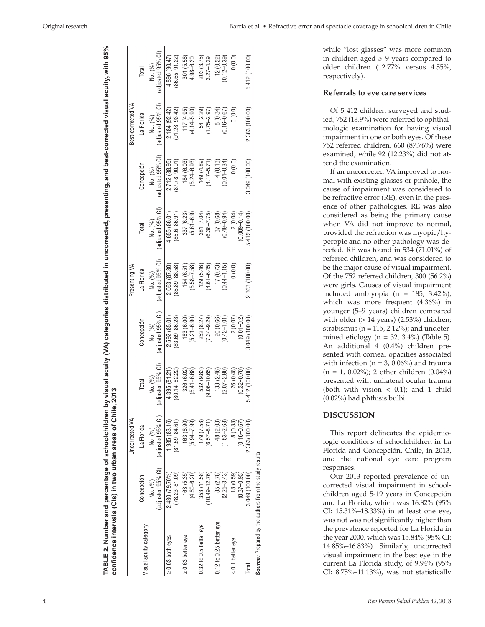while "lost glasses" was more common in children aged 5–9 years compared to older children (12.77% versus 4.55%, respectively).

#### **Referrals to eye care services**

Of 5 412 children surveyed and stud ied, 752 (13.9%) were referred to ophthal mologic examination for having visual impairment in one or both eyes. Of these 752 referred children, 660 (87.76%) were examined, while 92 (12.23%) did not at tend the examination.

If an uncorrected VA improved to nor mal with existing glasses or pinhole, the cause of impairment was considered to be refractive error (RE), even in the pres ence of other pathologies. RE was also considered as being the primary cause when VA did not improve to normal, provided the refraction was myopic/hy peropic and no other pathology was de tected. RE was found in 534 (71.01%) of referred children, and was considered to be the major cause of visual impairment. Of the 752 referred children, 300 (56.2%) were girls. Causes of visual impairment included amblyopia ( $n = 185, 3.42\%$ ), which was more frequent (4.36%) in younger (5–9 years) children compared with older  $(> 14 \text{ years})$   $(2.53\%)$  children; strabismus (n = 115, 2.12%); and undeter mined etiology ( $n = 32, 3.4\%$ ) (Table 5). An additional 4 (0.4%) children pre sented with corneal opacities associated with infection ( $n = 3$ , 0.06%) and trauma  $(n = 1, 0.02\%)$ ; 2 other children  $(0.04\%)$ presented with unilateral ocular trauma (both with vision  $<$  0.1); and 1 child (0.02%) had phthisis bulbi.

# **DISCUSSION**

This report delineates the epidemio logic conditions of schoolchildren in La Florida and Concepción, Chile, in 2013, and the national eye care program responses.

Our 2013 reported prevalence of un corrected visual impairment in school children aged 5-19 years in Concepción and La Florida, which was 16.82% (95% CI: 15.31%–18.33%) in at least one eye, was not was not significantly higher than the prevalence reported for La Florida in the year 2000, which was 15.84% (95% CI: 14.85%–16.83%). Similarly, uncorrected visual impairment in the best eye in the current La Florida study, of 9.94% (95% CI: 8.75%–11.13%), was not statistically

| confidence intervals (Cls) in two urban areas of Chile, 2 |                             | Uncorrected VA             | 2013                         |                           | Presenting VA     |                             |                   | Best-corrected VA |                   |
|-----------------------------------------------------------|-----------------------------|----------------------------|------------------------------|---------------------------|-------------------|-----------------------------|-------------------|-------------------|-------------------|
|                                                           | Concepción                  | La Florida                 | Total                        | Concepcion                | La Florida        | Total                       | Concepción        | La Florida        | Total             |
| Visual acuity category                                    | (adjusted 95% CI)           | (adjusted 95% CI)          | (adjusted 95% CI)            | (adjusted 95% CI)         | (adjusted 95% CI) | (adjusted 95% CI)           | (adjusted 95% CI) | (adjusted 95% CI) | (adjusted 95% CI) |
|                                                           | No. (%)                     | No. (%)                    | No. (%)                      | No. (%)                   | No. (%)           | No. (%)                     | No. (%)           | No. (%)           | No. (%)           |
| $\geq 0.63$ both eves                                     | $(78.23 - 81.09)$           | 985 (83.16)                | 80.14-82.22)                 | $(83.69 - 86.23)$         | 2063 (87.30)      | 4655 (86.01)                | 2712 (88.95)      | 2 184 (92.42)     | $(86.65 - 91.22)$ |
|                                                           | 2 430 (79.70%)              | $(81.59 - 84.61)$          | 4 395 (81.21)                | 2592 (85.01)              | $(85.89 - 88.58)$ | 85.6-86.91                  | $(87.78 - 90.01)$ | $(91.28 - 93.42)$ | 4 896 (90.47)     |
| $\geq 0.63$ better eye                                    | 163 (5.35)                  | 163 (6.90)                 | 326 (6.02)                   | $(5.21 - 6.90)$           | $(5.58 - 7.58)$   | 337 (6.23)                  | 184 (6.03)        | 117 (4.95)        | 301 (5.56)        |
|                                                           | $(4.60 - 6.20)$             | $(5.94 - 7.99)$            | $(5.41 - 6.68)$              | 183 (6.00                 | 154 (6.51         | $(5.61 - 6.9)$              | $(5.24 - 6.93)$   | $(4.14 - 5.90)$   | $4.98 - 6.20$     |
| $0.32$ to $0.5$ better eye                                | 353 (11.58)                 | 179 (7.58)                 | 532 (9.83)                   | $(7.34 - 9.29)$           | 129 (5.46)        | $6.38 - 7.75$               | 149 (4.89)        | 54 (2.29)         | 203 (3.75)        |
|                                                           | $(10.49 - 12.76)$           | $6.57 - 8.71$              | $(3.06 - 10.65)$             | 252 (8.27)                | $(4.61 - 6.45)$   | 381 (7.04)                  | $(4.17 - 5.71)$   | $(1.75 - 2.97)$   | $3.27 - 4.29$     |
| $0.12$ to 0.25 better eye                                 | $(2.25 - 3.43)$             | $(1.53 - 2.68)$            | 133 (2.46)                   | 20 (0.66)                 | $(0.44 - 1.15)$   | 37 (0.68)                   | $(0.04 - 0.34)$   | 8 (0.34)          | 12(0.22)          |
|                                                           | 85 (2.78)                   | 48 (2.03)                  | $(2.07 - 2.90)$              | $(0.42 - 1.01)$           | 17 (0.73)         | $0.49 - 0.94$               | 4(0.13)           | $(0.16 - 0.67)$   | $(0.12 - 0.39)$   |
| $\leq 0.1$ better eye                                     | 18(0.59)<br>$(0.37 - 0.93)$ | 8(0.33)<br>$(0.16 - 0.67)$ | 26 (0.48)<br>$(0.32 - 0.70)$ | $(0.01 - 0.2)$<br>2(0.07) | (0.0)             | 2(0.04)<br>$(0.009 - 0.14)$ | (0.0)             | (0.0)             | 0(0.0)            |
| Total                                                     | 3049(100.00)                | 2 363 (100.00)             | 412 (100.00)                 | 3 049 (100.00             | 2 363 (100.00)    | 5412 (100.00                | 3049(100.00)      | 2 363 (100.00)    | 5412 (100.00)     |
| Source: Prepared by the authors from the study results.   |                             |                            |                              |                           |                   |                             |                   |                   |                   |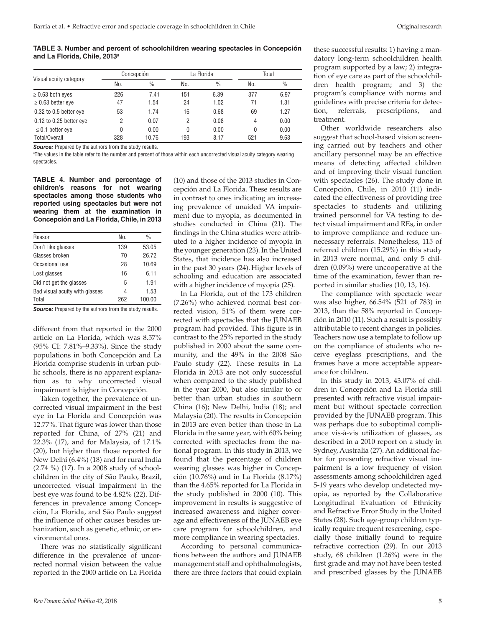**TABLE 3. Number and percent of schoolchildren wearing spectacles in Concepción and La Florida, Chile, 2013a**

|                         |     | Concepción    |     | La Florida    |     | Total         |  |
|-------------------------|-----|---------------|-----|---------------|-----|---------------|--|
| Visual acuity category  | No. | $\frac{0}{0}$ | No. | $\frac{0}{0}$ | No. | $\frac{0}{0}$ |  |
| $\geq$ 0.63 both eyes   | 226 | 7.41          | 151 | 6.39          | 377 | 6.97          |  |
| $\geq$ 0.63 better eye  | 47  | 1.54          | 24  | 1.02          | 71  | 1.31          |  |
| 0.32 to 0.5 better eye  | 53  | 1.74          | 16  | 0.68          | 69  | 1.27          |  |
| 0.12 to 0.25 better eye | 2   | 0.07          | 2   | 0.08          | 4   | 0.00          |  |
| $\leq$ 0.1 better eye   | 0   | 0.00          | 0   | 0.00          | 0   | 0.00          |  |
| Total/Overall           | 328 | 10.76         | 193 | 8.17          | 521 | 9.63          |  |

**Source:** Prepared by the authors from the study results.

a The values in the table refer to the number and percent of those within each uncorrected visual acuity category wearing spectacles**.**

**TABLE 4. Number and percentage of children's reasons for not wearing spectacles among those students who reported using spectacles but were not wearing them at the examination in Concepción and La Florida, Chile, in 2013** 

| Reason                         | No. | $\frac{0}{0}$ |
|--------------------------------|-----|---------------|
| Don't like glasses             | 139 | 53.05         |
| Glasses broken                 | 70  | 26.72         |
| Occasional use                 | 28  | 10.69         |
| Lost glasses                   | 16  | 6 11          |
| Did not get the glasses        | 5   | 1.91          |
| Bad visual acuity with glasses | 4   | 1.53          |
| Total                          | 262 | 100.00        |
|                                |     |               |

**Source:** Prepared by the authors from the study results.

different from that reported in the 2000 article on La Florida, which was 8.57% (95% CI: 7.81%–9.33%). Since the study populations in both Concepción and La Florida comprise students in urban public schools, there is no apparent explanation as to why uncorrected visual impairment is higher in Concepción.

Taken together, the prevalence of uncorrected visual impairment in the best eye in La Florida and Concepción was 12.77%. That figure was lower than those reported for China, of 27% (21) and 22.3% (17), and for Malaysia, of 17.1% (20), but higher than those reported for New Delhi (6.4%) (18) and for rural India (2.74 %) (17). In a 2008 study of schoolchildren in the city of São Paulo, Brazil, uncorrected visual impairment in the best eye was found to be 4.82% (22). Differences in prevalence among Concepción, La Florida, and São Paulo suggest the influence of other causes besides urbanization, such as genetic, ethnic, or environmental ones.

There was no statistically significant difference in the prevalence of uncorrected normal vision between the value reported in the 2000 article on La Florida

(10) and those of the 2013 studies in Concepción and La Florida. These results are in contrast to ones indicating an increasing prevalence of unaided VA impairment due to myopia, as documented in studies conducted in China (21). The findings in the China studies were attributed to a higher incidence of myopia in the younger generation (23). In the United States, that incidence has also increased in the past 30 years (24). Higher levels of schooling and education are associated with a higher incidence of myopia (25).

In La Florida, out of the 173 children (7.26%) who achieved normal best corrected vision, 51% of them were corrected with spectacles that the JUNAEB program had provided. This figure is in contrast to the 25% reported in the study published in 2000 about the same community, and the 49% in the 2008 São Paulo study (22). These results in La Florida in 2013 are not only successful when compared to the study published in the year 2000, but also similar to or better than urban studies in southern China (16); New Delhi, India (18); and Malaysia (20). The results in Concepción in 2013 are even better than those in La Florida in the same year, with 60% being corrected with spectacles from the national program. In this study in 2013, we found that the percentage of children wearing glasses was higher in Concepción (10.76%) and in La Florida (8.17%) than the 4.65% reported for La Florida in the study published in 2000 (10). This improvement in results is suggestive of increased awareness and higher coverage and effectiveness of the JUNAEB eye care program for schoolchildren, and more compliance in wearing spectacles.

According to personal communications between the authors and JUNAEB management staff and ophthalmologists, there are three factors that could explain

these successful results: 1) having a mandatory long-term schoolchildren health program supported by a law; 2) integration of eye care as part of the schoolchildren health program; and 3) the program's compliance with norms and guidelines with precise criteria for detection, referrals, prescriptions, and treatment.

Other worldwide researchers also suggest that school-based vision screening carried out by teachers and other ancillary personnel may be an effective means of detecting affected children and of improving their visual function with spectacles (26). The study done in Concepción, Chile, in 2010 (11) indicated the effectiveness of providing free spectacles to students and utilizing trained personnel for VA testing to detect visual impairment and REs, in order to improve compliance and reduce unnecessary referrals. Nonetheless, 115 of referred children (15.29%) in this study in 2013 were normal, and only 5 children (0.09%) were uncooperative at the time of the examination, fewer than reported in similar studies (10, 13, 16).

The compliance with spectacle wear was also higher, 66.54% (521 of 783) in 2013, than the 58% reported in Concepción in 2010 (11). Such a result is possibly attributable to recent changes in policies. Teachers now use a template to follow up on the compliance of students who receive eyeglass prescriptions, and the frames have a more acceptable appearance for children.

In this study in 2013, 43.07% of children in Concepción and La Florida still presented with refractive visual impairment but without spectacle correction provided by the JUNAEB program. This was perhaps due to suboptimal compliance vis-à-vis utilization of glasses, as described in a 2010 report on a study in Sydney, Australia (27). An additional factor for presenting refractive visual impairment is a low frequency of vision assessments among schoolchildren aged 5-19 years who develop undetected myopia, as reported by the Collaborative Longitudinal Evaluation of Ethnicity and Refractive Error Study in the United States (28). Such age-group children typically require frequent rescreening, especially those initially found to require refractive correction (29). In our 2013 study, 68 children (1.26%) were in the first grade and may not have been tested and prescribed glasses by the JUNAEB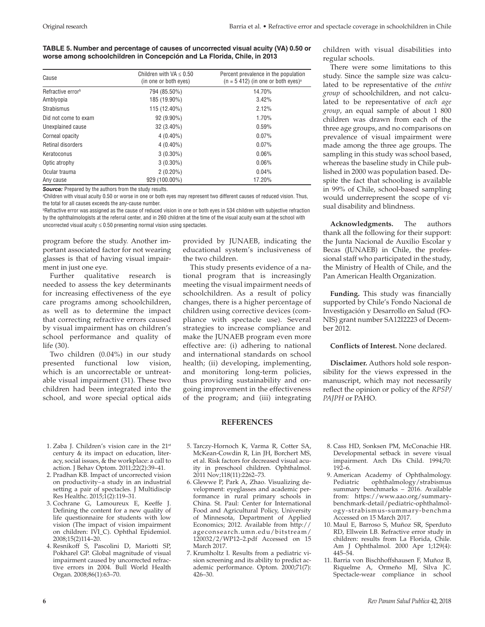# **TABLE 5. Number and percentage of causes of uncorrected visual acuity (VA) 0.50 or worse among schoolchildren in Concepción and La Florida, Chile, in 2013**

| Cause                         | Children with $VA \leq 0.50$<br>(in one or both eyes) | Percent prevalence in the population<br>$(n = 5 412)$ (in one or both eyes) <sup>a</sup> |
|-------------------------------|-------------------------------------------------------|------------------------------------------------------------------------------------------|
| Refractive error <sup>b</sup> | 794 (85.50%)                                          | 14.70%                                                                                   |
| Amblyopia                     | 185 (19.90%)                                          | 3.42%                                                                                    |
| <b>Strabismus</b>             | 115 (12.40%)                                          | 2.12%                                                                                    |
| Did not come to exam          | $92(9.90\%)$                                          | 1.70%                                                                                    |
| Unexplained cause             | $32(3.40\%)$                                          | 0.59%                                                                                    |
| Corneal opacity               | $4(0.40\%)$                                           | 0.07%                                                                                    |
| Retinal disorders             | $4(0.40\%)$                                           | 0.07%                                                                                    |
| Keratoconus                   | $3(0.30\%)$                                           | 0.06%                                                                                    |
| Optic atrophy                 | $3(0.30\%)$                                           | 0.06%                                                                                    |
| Ocular trauma                 | $2(0.20\%)$                                           | 0.04%                                                                                    |
| Any cause                     | 929 (100.00%)                                         | 17.20%                                                                                   |

**Source:** Prepared by the authors from the study results.

a Children with visual acuity 0.50 or worse in one or both eyes may represent two different causes of reduced vision. Thus, the total for all causes exceeds the any-cause number.

b Refractive error was assigned as the cause of reduced vision in one or both eyes in 534 children with subjective refraction by the ophthalmologists at the referral center, and in 260 children at the time of the visual acuity exam at the school with uncorrected visual acuity  $\leq 0.50$  presenting normal vision using spectacles.

program before the study. Another important associated factor for not wearing glasses is that of having visual impairment in just one eye.

Further qualitative research is needed to assess the key determinants for increasing effectiveness of the eye care programs among schoolchildren, as well as to determine the impact that correcting refractive errors caused by visual impairment has on children's school performance and quality of life (30).

Two children (0.04%) in our study presented functional low vision, which is an uncorrectable or untreatable visual impairment (31). These two children had been integrated into the school, and wore special optical aids

provided by JUNAEB, indicating the educational system's inclusiveness of the two children.

This study presents evidence of a national program that is increasingly meeting the visual impairment needs of schoolchildren. As a result of policy changes, there is a higher percentage of children using corrective devices (compliance with spectacle use). Several strategies to increase compliance and make the JUNAEB program even more effective are: (i) adhering to national and international standards on school health; (ii) developing, implementing, and monitoring long-term policies, thus providing sustainability and ongoing improvement in the effectiveness of the program; and (iii) integrating

# **REFERENCES**

- 1. Zaba J. Children's vision care in the 21st century & its impact on education, literacy, social issues, & the workplace: a call to action. J Behav Optom. 2011;22(2):39–41.
- 2. Pradhan KB. Impact of uncorrected vision on productivity−a study in an industrial setting a pair of spectacles. J Multidiscip Res Healthc. 2015;1(2):119–31.
- 3. Cochrane G, Lamoureux E, Keeffe J. Defining the content for a new quality of life questionnaire for students with low vision (The impact of vision impairment on children: IVI\_C). Ophthal Epidemiol. 2008;15(2)114–20.
- 4. Resnikoff S, Pascolini D, Mariotti SP, Pokharel GP. Global magnitude of visual impairment caused by uncorrected refractive errors in 2004. Bull World Health Organ. 2008;86(1):63–70.
- 5. Tarczy-Hornoch K, Varma R, Cotter SA, McKean-Cowdin R, Lin JH, Borchert MS, et al. Risk factors for decreased visual acuity in preschool children. Ophthalmol. 2011 Nov;118(11):2262–73.
- 6. Glewwe P, Park A, Zhao. Visualizing development: eyeglasses and academic performance in rural primary schools in China. St. Paul: Center for International Food and Agricultural Policy, University of Minnesota, Department of Applied Economics; 2012. Available from [http://](http://ageconsearch.umn.edu/bitstream/120032/2/WP12�2.pdf) [ageconsearch.umn.edu/bitstream/](http://ageconsearch.umn.edu/bitstream/120032/2/WP12�2.pdf) [120032/2/WP12–2.pdf](http://ageconsearch.umn.edu/bitstream/120032/2/WP12�2.pdf) Accessed on 15 March 2017.
- 7. Krumholtz I. Results from a pediatric vision screening and its ability to predict academic performance. Optom. 2000;71(7): 426–30.

children with visual disabilities into regular schools.

There were some limitations to this study. Since the sample size was calculated to be representative of the *entire group* of schoolchildren, and not calculated to be representative of *each age group*, an equal sample of about 1 800 children was drawn from each of the three age groups, and no comparisons on prevalence of visual impairment were made among the three age groups. The sampling in this study was school based, whereas the baseline study in Chile published in 2000 was population based. Despite the fact that schooling is available in 99% of Chile, school-based sampling would underrepresent the scope of visual disability and blindness.

**Acknowledgments.** The authors thank all the following for their support: the Junta Nacional de Auxilio Escolar y Becas (JUNAEB) in Chile, the professional staff who participated in the study, the Ministry of Health of Chile, and the Pan American Health Organization.

**Funding.** This study was financially supported by Chile's Fondo Nacional de Investigación y Desarrollo en Salud (FO-NIS) grant number SA12I2223 of December 2012.

#### **Conflicts of Interest.** None declared.

**Disclaimer.** Authors hold sole responsibility for the views expressed in the manuscript, which may not necessarily reflect the opinion or policy of the *RPSP/ PAJPH* or PAHO.

- 8. Cass HD, Sonksen PM, McConachie HR. Developmental setback in severe visual impairment. Arch Dis Child. 1994;70: 192–6.
- 9. American Academy of Ophthalmology. Pediatric ophthalmology/strabismus summary benchmarks - 2016. Available from: [https://www.aao.org/summary](https://www.aao.org/summary-benchmark-detail/pediatric-ophthalmology-strabismus-summary-benchma)[benchmark-detail/pediatric-ophthalmol](https://www.aao.org/summary-benchmark-detail/pediatric-ophthalmology-strabismus-summary-benchma)[ogy-strabismus-summary-benchma](https://www.aao.org/summary-benchmark-detail/pediatric-ophthalmology-strabismus-summary-benchma) Accessed on 15 March 2017.
- 10. Maul E, Barroso S, Muñoz SR, Sperduto RD, Ellwein LB. Refractive error study in children: results from La Florida, Chile. Am J Ophthalmol. 2000 Apr 1;129(4): 445–54.
- 11. Barria von Bischhoffshausen F, Muñoz B, Riquelme A, Ormeño MJ, Silva JC. Spectacle-wear compliance in school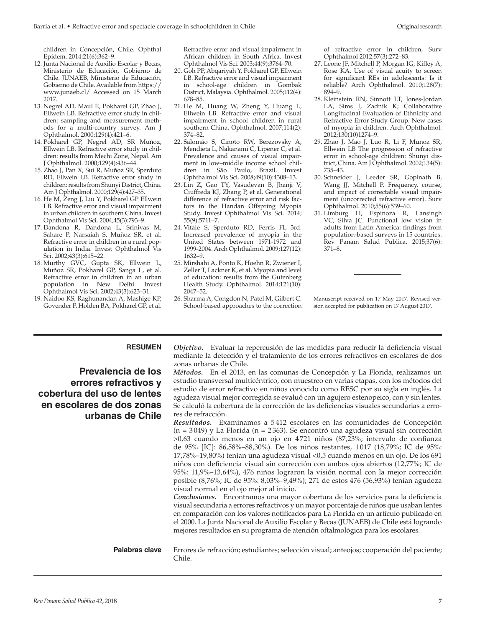children in Concepción, Chile. Ophthal Epidem. 2014;21(6):362–9.

- 12. Junta Nacional de Auxilio Escolar y Becas, Ministerio de Educación, Gobierno de Chile. JUNAEB, Ministerio de Educación, Gobierno de Chile. Available from [https://](https://www.junaeb.cl/) [www.junaeb.cl/](https://www.junaeb.cl/) Accessed on 15 March 2017.
- 13. Negrel AD, Maul E, Pokharel GP, Zhao J, Ellwein LB. Refractive error study in children: sampling and measurement methods for a multi-country survey. Am J Ophthalmol. 2000;129(4):421–6.
- 14. Pokharel GP, Negrel AD, SR Muñoz, Ellwein LB. Refractive error study in children: results from Mechi Zone, Nepal. Am J Ophthalmol. 2000;129(4):436–44.
- 15. Zhao J, Pan X, Sui R, Muñoz SR, Sperduto RD, Ellwein LB. Refractive error study in children: results from Shunyi District, China. Am J Ophthalmol. 2000;129(4):427–35.
- 16. He M, Zeng J, Liu Y, Pokharel GP Ellwein LB. Refractive error and visual impairment in urban children in southern China. Invest Ophthalmol Vis Sci. 2004;45(3):793–9.
- 17. Dandona R, Dandona L, Srinivas M, Sahare P, Narsaiah S, Muñoz SR, et al. Refractive error in children in a rural population in India. Invest Ophthalmol Vis Sci. 2002;43(3):615–22.
- 18. Murthy GVC, Gupta SK, Ellwein L, Muñoz SR, Pokharel GP, Sanga L, et al. Refractive error in children in an urban population in New Delhi. Invest Ophthalmol Vis Sci. 2002;43(3):623–31.
- 19. Naidoo KS, Raghunandan A, Mashige KP, Govender P, Holden BA, Pokharel GP, et al.

Refractive error and visual impairment in African children in South Africa. Invest Ophthalmol Vis Sci. 2003;44(9):3764–70.

- 20. Goh PP, Abqariyah Y, Pokharel GP, Ellwein LB. Refractive error and visual impairment in school-age children in Gombak District, Malaysia. Ophthalmol. 2005;112(4): 678–85.
- 21. He M, Huang W, Zheng Y, Huang L, Ellwein LB. Refractive error and visual impairment in school children in rural southern China. Ophthalmol. 2007;114(2): 374–82.
- 22. Salomão S, Cinoto RW, Berezovsky A, Mendieta L, Nakanami C, Lipener C, et al. Prevalence and causes of visual impairment in low–middle income school children in São Paulo, Brazil. Invest Ophthalmol Vis Sci. 2008;49(10):4308–13.
- 23. Lin Z, Gao TY, Vasudevan B, Jhanji V, Ciuffreda KJ, Zhang P, et al. Generational difference of refractive error and risk factors in the Handan Offspring Myopia Study. Invest Ophthalmol Vis Sci. 2014; 55(9):5711–7.
- 24. Vitale S, Sperduto RD, Ferris FL 3rd. Increased prevalence of myopia in the United States between 1971-1972 and 1999-2004. Arch Ophthalmol. 2009;127(12): 1632–9.
- 25. Mirshahi A, Ponto K, Hoehn R, Zwiener I, Zeller T, Lackner K, et al. Myopia and level of education: results from the Gutenberg Health Study. Ophthalmol. 2014;121(10): 2047–52.
- 26. Sharma A, Congdon N, Patel M, Gilbert C. School-based approaches to the correction

of refractive error in children, Surv Ophthalmol 2012;57(3):272–83.

- 27. Leone JF, Mitchell P, Morgan IG, Kifley A, Rose KA. Use of visual acuity to screen for significant REs in adolescents: Is it reliable? Arch Ophthalmol. 2010;128(7): 894–9.
- 28. Kleinstein RN, Sinnott LT, Jones-Jordan LA, Sims J, Zadnik K; Collaborative Longitudinal Evaluation of Ethnicity and Refractive Error Study Group. New cases of myopia in children. Arch Ophthalmol. 2012;130(10)1274–9.
- 29. Zhao J, Mao J, Luo R, Li F, Munoz SR, Ellwein LB The progression of refractive error in school-age children: Shunyi district, China. Am J Ophthalmol. 2002;134(5): 735–43.
- 30. Schneider J, Leeder SR, Gopinath B, Wang JJ, Mitchell P. Frequency, course, and impact of correctable visual impairment (uncorrected refractive error). Surv Ophthalmol. 2010;55(6):539–60.
- 31. Limburg H, Espinoza R, Lansingh VC, Silva JC. Functional low vision in adults from Latin America: findings from population-based surveys in 15 countries. Rev Panam Salud Publica. 2015;37(6): 371–8.

Manuscript received on 17 May 2017. Revised version accepted for publication on 17 August 2017.

# **RESUMEN** *Objetivo***.** Evaluar la repercusión de las medidas para reducir la deficiencia visual

# **Prevalencia de los errores refractivos y cobertura del uso de lentes en escolares de dos zonas urbanas de Chile**

mediante la detección y el tratamiento de los errores refractivos en escolares de dos zonas urbanas de Chile. *Métodos***.** En el 2013, en las comunas de Concepción y La Florida, realizamos un estudio transversal multicéntrico, con muestreo en varias etapas, con los métodos del estudio de error refractivo en niños conocido como RESC por su sigla en inglés. La

agudeza visual mejor corregida se evaluó con un agujero estenopeico, con y sin lentes. Se calculó la cobertura de la corrección de las deficiencias visuales secundarias a errores de refracción. *Resultados***.** Examinamos a 5 412 escolares en las comunidades de Concepción

 $(n = 3049)$  y La Florida (n = 2363). Se encontró una agudeza visual sin corrección >0,63 cuando menos en un ojo en 4 721 niños (87,23%; intervalo de confianza de 95% [IC]: 86,58%–88,30%). De los niños restantes, 1 017 (18,79%; IC de 95%: 17,78%–19,80%) tenían una agudeza visual <0,5 cuando menos en un ojo. De los 691 niños con deficiencia visual sin corrección con ambos ojos abiertos (12,77%; IC de 95%: 11,9%–13,64%), 476 niños lograron la visión normal con la mejor corrección posible (8,76%; IC de 95%: 8,03%–9,49%); 271 de estos 476 (56,93%) tenían agudeza visual normal en el ojo mejor al inicio.

*Conclusiones***.** Encontramos una mayor cobertura de los servicios para la deficiencia visual secundaria a errores refractivos y un mayor porcentaje de niños que usaban lentes en comparación con los valores notificados para La Florida en un artículo publicado en el 2000. La Junta Nacional de Auxilio Escolar y Becas (JUNAEB) de Chile está logrando mejores resultados en su programa de atención oftalmológica para los escolares.

**Palabras clave** Errores de refracción; estudiantes; selección visual; anteojos; cooperación del paciente; Chile.